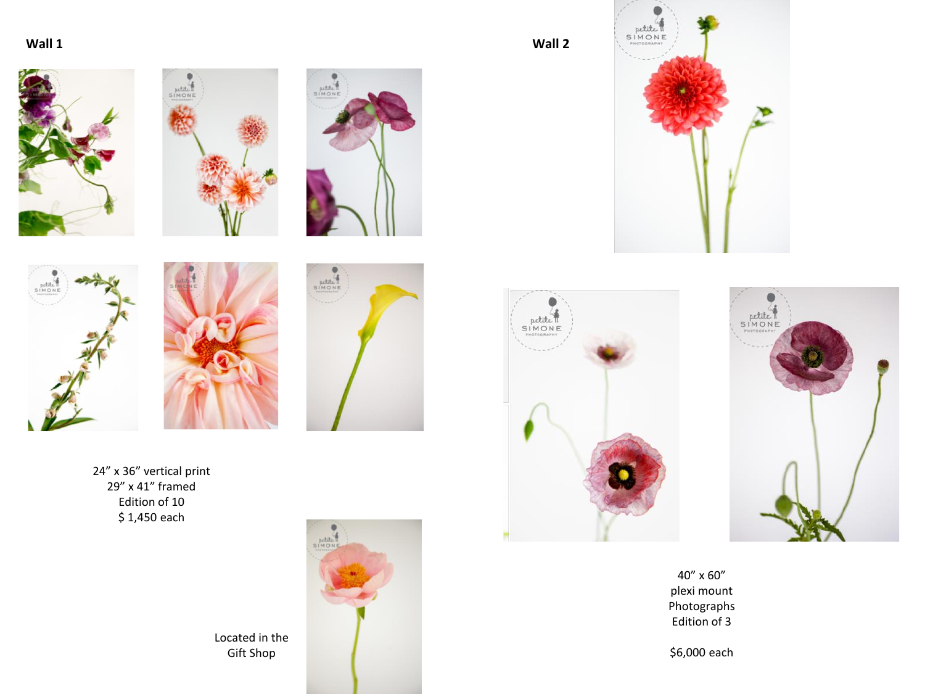**Wall 1**











Gift Shop

24" x 36" vertical print 29" x 41" framed Edition of 10 \$ 1,450 each





 $\bullet$ 

**Wall 2**







40" x 60" plexi mount Photographs Edition of 3

\$6,000 each